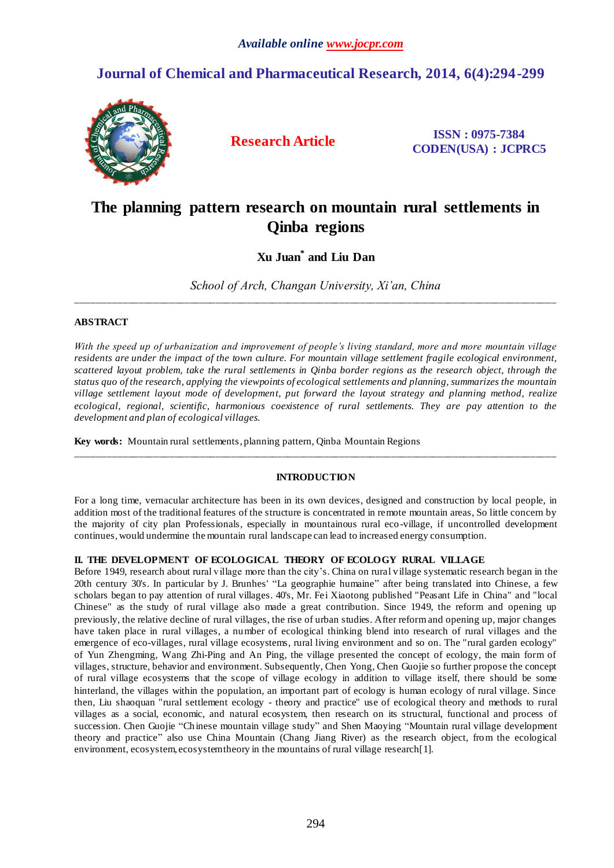# **Journal of Chemical and Pharmaceutical Research, 2014, 6(4):294-299**



**Research Article ISSN : 0975-7384 CODEN(USA) : JCPRC5**

# **The planning pattern research on mountain rural settlements in Qinba regions**

# **Xu Juan\* and Liu Dan**

*School of Arch, Changan University, Xi'an, China* \_\_\_\_\_\_\_\_\_\_\_\_\_\_\_\_\_\_\_\_\_\_\_\_\_\_\_\_\_\_\_\_\_\_\_\_\_\_\_\_\_\_\_\_\_\_\_\_\_\_\_\_\_\_\_\_\_\_\_\_\_\_\_\_\_\_\_\_\_\_\_\_\_\_\_\_\_\_\_\_\_\_\_\_\_\_\_\_\_\_\_\_\_

#### **ABSTRACT**

*With the speed up of urbanization and improvement of people's living standard, more and more mountain village residents are under the impact of the town culture. For mountain village settlement fragile ecological environment, scattered layout problem, take the rural settlements in Qinba border regions as the research object, through the status quo of the research, applying the viewpoints of ecological settlements and planning, summarizes the mountain village settlement layout mode of development, put forward the layout strategy and planning method, realize ecological, regional, scientific, harmonious coexistence of rural settlements. They are pay attention to the development and plan of ecological villages.*

**Key words:** Mountain rural settlements, planning pattern, Qinba Mountain Regions

### **INTRODUCTION**

\_\_\_\_\_\_\_\_\_\_\_\_\_\_\_\_\_\_\_\_\_\_\_\_\_\_\_\_\_\_\_\_\_\_\_\_\_\_\_\_\_\_\_\_\_\_\_\_\_\_\_\_\_\_\_\_\_\_\_\_\_\_\_\_\_\_\_\_\_\_\_\_\_\_\_\_\_\_\_\_\_\_\_\_\_\_\_\_\_\_\_\_\_

For a long time, vernacular architecture has been in its own devices, designed and construction by local people, in addition most of the traditional features of the structure is concentrated in remote mountain areas, So little concern by the majority of city plan Professionals, especially in mountainous rural eco-village, if uncontrolled development continues, would undermine the mountain rural landscape can lead to increased energy consumption.

### **II. THE DEVELOPMENT OF ECOLOGICAL THEORY OF ECOLOGY RURAL VILLAGE**

Before 1949, research about rural village more than the city's. China on rural village systematic research began in the 20th century 30's. In particular by J. Brunhes' "La geographie humaine" after being translated into Chinese, a few scholars began to pay attention of rural villages. 40's, Mr. Fei Xiaotong published "Peasant Life in China" and "local Chinese" as the study of rural village also made a great contribution. Since 1949, the reform and opening up previously, the relative decline of rural villages, the rise of urban studies. After reform and opening up, major changes have taken place in rural villages, a number of ecological thinking blend into research of rural villages and the emergence of eco-villages, rural village ecosystems, rural living environment and so on. The "rural garden ecology" of Yun Zhengming, Wang Zhi-Ping and An Ping, the village presented the concept of ecology, the main form of villages, structure, behavior and environment. Subsequently, Chen Yong, Chen Guojie so further propose the concept of rural village ecosystems that the scope of village ecology in addition to village itself, there should be some hinterland, the villages within the population, an important part of ecology is human ecology of rural village. Since then, Liu shaoquan "rural settlement ecology - theory and practice" use of ecological theory and methods to rural villages as a social, economic, and natural ecosystem, then research on its structural, functional and process of succession. Chen Guojie "Chinese mountain village study" and Shen Maoying "Mountain rural village development theory and practice" also use China Mountain (Chang Jiang River) as the research object, from the ecological environment, ecosystem, ecosystem theory in the mountains of rural village research[1].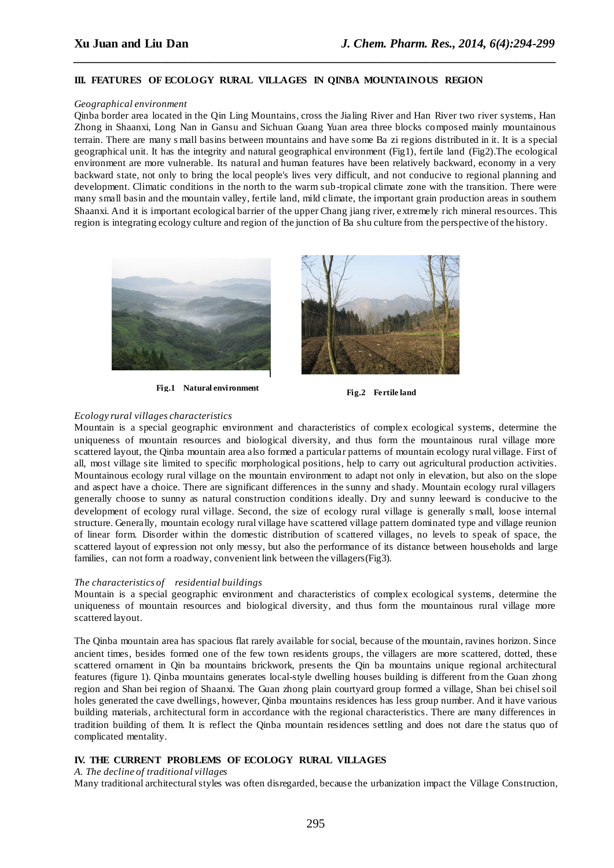#### **III. FEATURES OF ECOLOGY RURAL VILLAGES IN QINBA MOUNTAINOUS REGION**

#### *Geographical environment*

Qinba border area located in the Qin Ling Mountains, cross the Jialing River and Han River two river systems, Han Zhong in Shaanxi, Long Nan in Gansu and Sichuan Guang Yuan area three blocks composed mainly mountainous terrain. There are many s mall basins between mountains and have some Ba zi regions distributed in it. It is a special geographical unit. It has the integrity and natural geographical environment (Fig1), fertile land (Fig2).The ecological environment are more vulnerable. Its natural and human features have been relatively backward, economy in a very backward state, not only to bring the local people's lives very difficult, and not conducive to regional planning and development. Climatic conditions in the north to the warm sub-tropical climate zone with the transition. There were many small basin and the mountain valley, fertile land, mild climate, the important grain production areas in southern Shaanxi. And it is important ecological barrier of the upper Chang jiang river, extremely rich mineral resources. This region is integrating ecology culture and region of the junction of Ba shu culture from the perspective of the history.

*\_\_\_\_\_\_\_\_\_\_\_\_\_\_\_\_\_\_\_\_\_\_\_\_\_\_\_\_\_\_\_\_\_\_\_\_\_\_\_\_\_\_\_\_\_\_\_\_\_\_\_\_\_\_\_\_\_\_\_\_\_\_\_\_\_\_\_\_\_\_\_\_\_\_\_\_\_\_*



**Fig.1 Natural environment Fig.2 Fertile land**



#### *Ecology rural villages characteristics*

Mountain is a special geographic environment and characteristics of complex ecological systems, determine the uniqueness of mountain resources and biological diversity, and thus form the mountainous rural village more scattered layout, the Qinba mountain area also formed a particular patterns of mountain ecology rural village. First of all, most village site limited to specific morphological positions, help to carry out agricultural production activities. Mountainous ecology rural village on the mountain environment to adapt not only in elevation, but also on the slope and aspect have a choice. There are significant differences in the sunny and shady. Mountain ecology rural villagers generally choose to sunny as natural construction conditions ideally. Dry and sunny leeward is conducive to the development of ecology rural village. Second, the size of ecology rural village is generally s mall, loose internal structure. Generally, mountain ecology rural village have scattered village pattern dominated type and village reunion of linear form. Disorder within the domestic distribution of scattered villages, no levels to speak of space, the scattered layout of expression not only messy, but also the performance of its distance between households and large families, can not form a roadway, convenient link between the villagers(Fig3).

#### *The characteristics of residential buildings*

Mountain is a special geographic environment and characteristics of complex ecological systems, determine the uniqueness of mountain resources and biological diversity, and thus form the mountainous rural village more scattered layout.

The Qinba mountain area has spacious flat rarely available for social, because of the mountain, ravines horizon. Since ancient times, besides formed one of the few town residents groups, the villagers are more scattered, dotted, these scattered ornament in Qin ba mountains brickwork, presents the Qin ba mountains unique regional architectural features (figure 1). Qinba mountains generates local-style dwelling houses building is different from the Guan zhong region and Shan bei region of Shaanxi. The Guan zhong plain courtyard group formed a village, Shan bei chisel soil holes generated the cave dwellings, however, Qinba mountains residences has less group number. And it have various building materials, architectural form in accordance with the regional characteristics. There are many differences in tradition building of them. It is reflect the Qinba mountain residences settling and does not dare the status quo of complicated mentality.

#### **IV. THE CURRENT PROBLEMS OF ECOLOGY RURAL VILLAGES**

#### *A. The decline of traditional villages*

Many traditional architectural styles was often disregarded, because th[e urbanization](dict://key.0895DFE8DB67F9409DB285590D870EDD/urbanization) impact the Village Construction,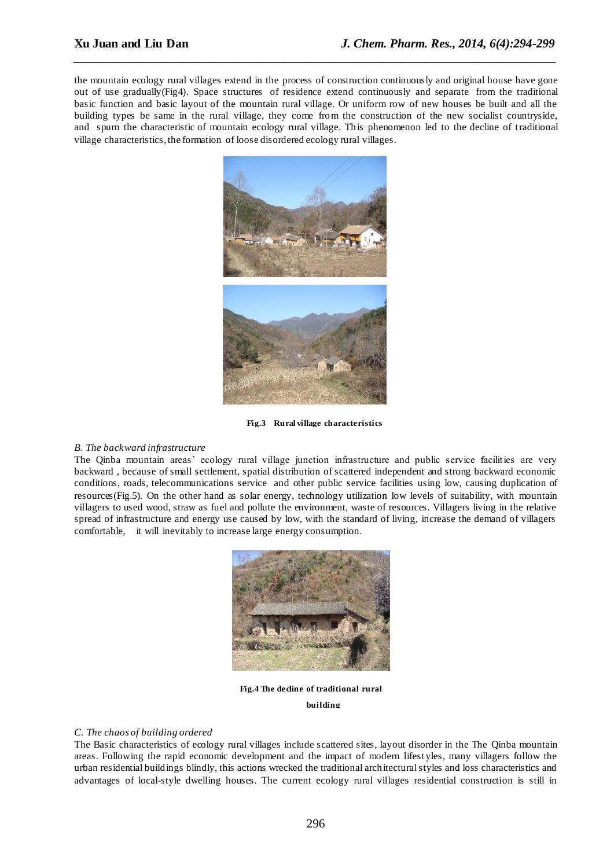the mountain ecology rural villages extend in the [process of construction](dict://key.0895DFE8DB67F9409DB285590D870EDD/process%20of%20construction) [continuously](dict://key.0895DFE8DB67F9409DB285590D870EDD/continuously) and original house [have gone](dict://key.0895DFE8DB67F9409DB285590D870EDD/go%20out%20of%20use)  [out of use](dict://key.0895DFE8DB67F9409DB285590D870EDD/go%20out%20of%20use) [gradually\(](dict://key.0895DFE8DB67F9409DB285590D870EDD/gradually)Fig4). [Space structures](dict://key.0895DFE8DB67F9409DB285590D870EDD/space%20structures) of residence extend [continuously](dict://key.0895DFE8DB67F9409DB285590D870EDD/continuously) and [separate](dict://key.0895DFE8DB67F9409DB285590D870EDD/separate) from the traditional [basic function](dict://key.0895DFE8DB67F9409DB285590D870EDD/basic%20function) and basic layout of the mountain rural village. Or uniform row of new houses be built and all the [building types](dict://key.0895DFE8DB67F9409DB285590D870EDD/building%20types) be same in the rural [village,](dict://key.0895DFE8DB67F9409DB285590D870EDD/settlement) they come from the construction of the new socialist countryside, and [spurn](dict://key.0895DFE8DB67F9409DB285590D870EDD/spurn) the [characteristic](dict://key.0895DFE8DB67F9409DB285590D870EDD/characteristic) of mountain ecology rural village. This phenomenon led to the decline of traditional village characteristics, the formation of loose disordered ecology rural villages.

*\_\_\_\_\_\_\_\_\_\_\_\_\_\_\_\_\_\_\_\_\_\_\_\_\_\_\_\_\_\_\_\_\_\_\_\_\_\_\_\_\_\_\_\_\_\_\_\_\_\_\_\_\_\_\_\_\_\_\_\_\_\_\_\_\_\_\_\_\_\_\_\_\_\_\_\_\_\_*



**Fig.3 Rural village characteristics**

#### *B. The backward infrastructure*

The Qinba mountain areas' ecology rural village junction infrastructure and public service facilities are very backward , because of small settlement, spatial distribution of scattered independent and strong backward economic conditions, roads, telecommunications [service](dict://key.0895DFE8DB67F9409DB285590D870EDD/service) and other public service facilities using low, causing duplication of resources(Fig.5). On the other hand as [solar energy,](dict://key.0895DFE8DB67F9409DB285590D870EDD/solar%20energy) [technology utilization](dict://key.0895DFE8DB67F9409DB285590D870EDD/technology%20utilization) low levels of suitability, with mountain villagers to used wood, straw as fuel and pollute the environment, waste of resources. Villagers living in the relative spread of infrastructure and energy use caused by low, with the standard of living, increase the demand of villagers [comfortable,](dict://key.0895DFE8DB67F9409DB285590D870EDD/comfort%20level) it will inevitably [to increase](dict://key.0895DFE8DB67F9409DB285590D870EDD/to%20increase) large energy consumption.



**Fig.4 The decline of traditional rural building**

#### *C. The chaos of building ordered*

The Basic characteristics of ecology rural villages include scattered sites, layout disorder in the The Qinba mountain areas. Following the rapid economic development and the impact of modern lifestyles, many villagers follow the urban residential buildings blindly, this actions wrecked the traditional architectural styles and loss characteristics and advantages of local-style dwelling houses. The current ecology rural villages residential construction is still in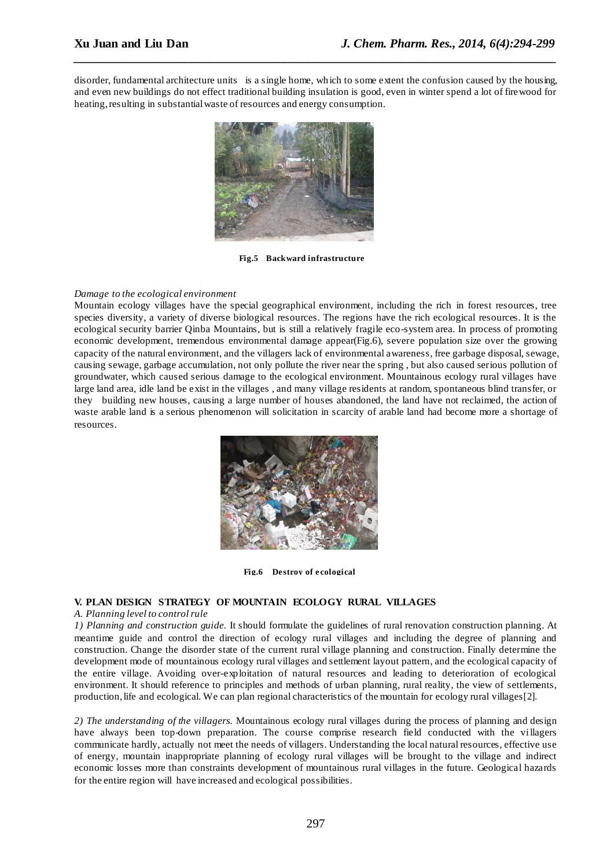disorder, fundamental architecture units is a single home, which to some extent the confusion caused by the housing, and even new buildings do not effect traditional building insulation is good, even in winter spend a lot of firewood for heating, resulting in substantial waste of resources and energy consumption.

*\_\_\_\_\_\_\_\_\_\_\_\_\_\_\_\_\_\_\_\_\_\_\_\_\_\_\_\_\_\_\_\_\_\_\_\_\_\_\_\_\_\_\_\_\_\_\_\_\_\_\_\_\_\_\_\_\_\_\_\_\_\_\_\_\_\_\_\_\_\_\_\_\_\_\_\_\_\_*



**Fig.5 Backward infrastructure**

#### *Damage to the ecological environment*

Mountain ecology villages have the special geographical environment, including the rich in forest resources, tree species diversity, a variety of diverse biological resources. The regions have the rich ecological resources. It is the ecological security barrier Qinba Mountains, but is still a relatively fragile eco-system area. In [process](dict://key.0895DFE8DB67F9409DB285590D870EDD/process) of promoting economic development, tremendous environmental damage appear(Fig.6), severe population size over the growing capacity of the natural environment, and the villagers lack of environmental awareness, free garbage disposal, sewage, causing sewage, garbage accumulation, not only pollute the river near the spring , but also caused serious pollution of groundwater, which caused serious damage to the ecological environment. Mountainous ecology rural villages have large land area, idle land be exist in the villages , and many village residents at random, spontaneous blind transfer, or they building new houses, causing a large number of houses abandoned, the land have not reclaimed, the action of waste arable land is a serious phenomenon will [solicitation](dict://key.0895DFE8DB67F9409DB285590D870EDD/solicitation) in scarcity of arable land had become more a shortage of resources.



**Fig.6 Destroy of e cological** 

#### **V. PLAN DESIGN STRATEGY OF MOUNTAIN ECOLOGY RURAL VILLAGES**

#### *A. Planning level to control rule*

*1) Planning and construction guide.* It should formulate the guidelines of rural renovation construction planning. At meantime guide and control the direction of ecology rural villages and including the degree of planning and construction. Change the disorder state of the current rural village planning and construction. Finally determine the development mode of mountainous ecology rural villages and settlement layout pattern, and the ecological capacity of the entire village. Avoiding over-exploitation of natural resources and leading to deterioration of ecological environment. It should reference to principles and methods of urban planning, rural reality, the view of settlements, production, life and ecological. We can plan regional characteristics of the mountain for ecology rural villages[2].

*2) The understanding of the villagers.* Mountainous ecology rural villages during the process of planning and design have always been top-down preparation. The course comprise research field conducted with the villagers communicate hardly, actually not meet the needs of villagers. Understanding the local natural resources, effective use of energy, mountain inappropriate planning of ecology rural villages will be brought to the village and indirect economic losses more than constraints development of mountainous rural villages in the future. Geological hazards for the entire region will have increased and ecological possibilities.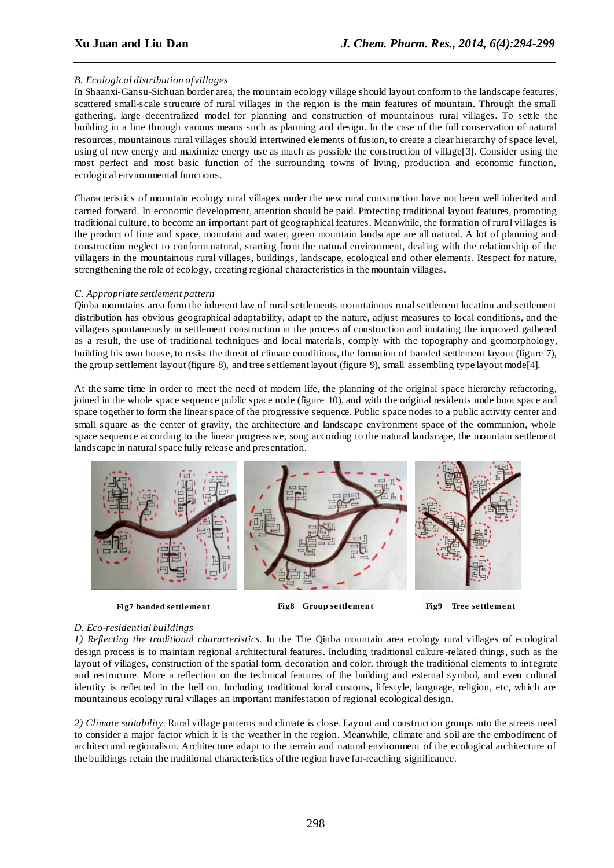#### *B. Ecological distribution of villages*

In Shaanxi-Gansu-Sichuan border area, the mountain ecology village should layout conform to the landscape features, scattered small-scale structure of rural villages in the region is the main features of mountain. Through the small gathering, large decentralized model for planning and construction of mountainous rural villages. To settle the building in a line through various means such as planning and design. In the case of the full conservation of natural resources, mountainous rural villages should intertwined elements of fusion, to create a clear hierarchy of space level, using of new energy and maximize energy use as much as possible the construction of village[3]. Consider using the most perfect and most basic function of the surrounding towns of living, production and economic function, ecological environmental functions.

*\_\_\_\_\_\_\_\_\_\_\_\_\_\_\_\_\_\_\_\_\_\_\_\_\_\_\_\_\_\_\_\_\_\_\_\_\_\_\_\_\_\_\_\_\_\_\_\_\_\_\_\_\_\_\_\_\_\_\_\_\_\_\_\_\_\_\_\_\_\_\_\_\_\_\_\_\_\_*

Characteristics of mountain ecology rural villages under the new rural construction have not been well inherited and carried forward. In economic development, attention should be paid. Protecting traditional layout features, promoting traditional culture, to become an important part of geographical features. Meanwhile, the formation of rural villages is the product of time and space, mountain and water, green mountain landscape are all natural. A lot of planning and construction neglect to conform natural, starting from the natural environment, dealing with the relationship of the villagers in the mountainous rural villages, buildings, landscape, ecological and other elements. Respect for nature, strengthening the role of ecology, creating regional characteristics in the mountain villages.

#### *C. Appropriate settlement pattern*

Qinba mountains area form the inherent law of rural settlements mountainous rural settlement location and settlement distribution has obvious geographical adaptability, adapt to the nature, adjust measures to local conditions, and the villagers spontaneously in settlement construction in the process of construction and imitating the improved gathered as a result, the use of traditional techniques and local materials, comply with the topography and geomorphology, building his own house, to resist the threat of climate conditions, the formation of banded settlement layout (figure 7), the group settlement layout (figure 8), and tree settlement layout (figure 9), small assembling type layout mode[4].

At the same time in order to meet the need of modern life, the planning of the original space hierarchy refactoring, joined in the whole space sequence public space node (figure 10), and with the original residents node boot space and space together to form the linear space of the progressive sequence. Public space nodes to a public activity center and small square as the center of gravity, the architecture and landscape environment space of the communion, whole space sequence according to the linear progressive, song according to the natural landscape, the mountain settlement landscape in natural space fully release and presentation.



**Fig7 banded settlement** 

**Fig8 Group settlement** 

**Fig9 Tree settlement** 

## *D. Eco-residential buildings*

*1) Reflecting the traditional characteristics.* In the The Qinba mountain area ecology rural villages of ecological design process is to maintain regional architectural features. Including traditional culture -related things, such as the layout of villages, construction of the spatial form, decoration and color, through the traditional elements to int egrate and restructure. More a reflection on the technical features of the building and external symbol, and even cultural identity is reflected in the hell on. Including traditional local customs, lifestyle, language, religion, etc, which are mountainous ecology rural villages an important manifestation of regional ecological design.

*2) Climate suitability.* Rural village patterns and climate is close. Layout and construction groups into the streets need to consider a major factor which it is the weather in the region. Meanwhile, climate and soil are the embodiment of architectural regionalism. Architecture adapt to the terrain and natural environment of the ecological architecture of the buildings retain the traditional characteristics of the region have far-reaching significance.